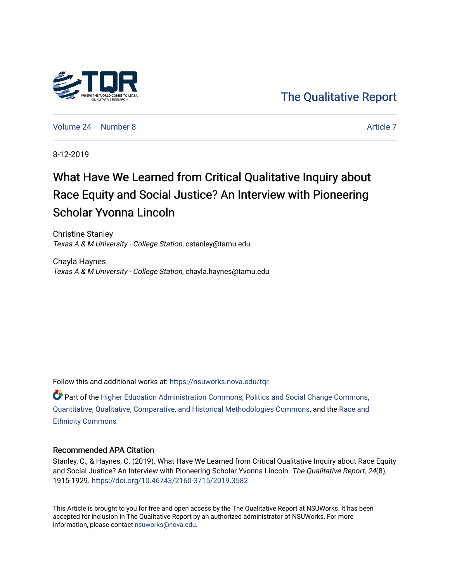

[Volume 24](https://nsuworks.nova.edu/tqr/vol24) | [Number 8](https://nsuworks.nova.edu/tqr/vol24/iss8) [Article 7](https://nsuworks.nova.edu/tqr/vol24/iss8/7) Article 7 Article 7 Article 7 Article 7 Article 7 Article 7 Article 7

8-12-2019

# What Have We Learned from Critical Qualitative Inquiry about Race Equity and Social Justice? An Interview with Pioneering Scholar Yvonna Lincoln

Christine Stanley Texas A & M University - College Station, cstanley@tamu.edu

Chayla Haynes Texas A & M University - College Station, chayla.haynes@tamu.edu

Follow this and additional works at: [https://nsuworks.nova.edu/tqr](https://nsuworks.nova.edu/tqr?utm_source=nsuworks.nova.edu%2Ftqr%2Fvol24%2Fiss8%2F7&utm_medium=PDF&utm_campaign=PDFCoverPages) 

Part of the [Higher Education Administration Commons,](http://network.bepress.com/hgg/discipline/791?utm_source=nsuworks.nova.edu%2Ftqr%2Fvol24%2Fiss8%2F7&utm_medium=PDF&utm_campaign=PDFCoverPages) [Politics and Social Change Commons,](http://network.bepress.com/hgg/discipline/425?utm_source=nsuworks.nova.edu%2Ftqr%2Fvol24%2Fiss8%2F7&utm_medium=PDF&utm_campaign=PDFCoverPages) [Quantitative, Qualitative, Comparative, and Historical Methodologies Commons,](http://network.bepress.com/hgg/discipline/423?utm_source=nsuworks.nova.edu%2Ftqr%2Fvol24%2Fiss8%2F7&utm_medium=PDF&utm_campaign=PDFCoverPages) and the [Race and](http://network.bepress.com/hgg/discipline/426?utm_source=nsuworks.nova.edu%2Ftqr%2Fvol24%2Fiss8%2F7&utm_medium=PDF&utm_campaign=PDFCoverPages)  [Ethnicity Commons](http://network.bepress.com/hgg/discipline/426?utm_source=nsuworks.nova.edu%2Ftqr%2Fvol24%2Fiss8%2F7&utm_medium=PDF&utm_campaign=PDFCoverPages) 

#### Recommended APA Citation

Stanley, C., & Haynes, C. (2019). What Have We Learned from Critical Qualitative Inquiry about Race Equity and Social Justice? An Interview with Pioneering Scholar Yvonna Lincoln. The Qualitative Report, 24(8), 1915-1929. <https://doi.org/10.46743/2160-3715/2019.3582>

This Article is brought to you for free and open access by the The Qualitative Report at NSUWorks. It has been accepted for inclusion in The Qualitative Report by an authorized administrator of NSUWorks. For more information, please contact [nsuworks@nova.edu.](mailto:nsuworks@nova.edu)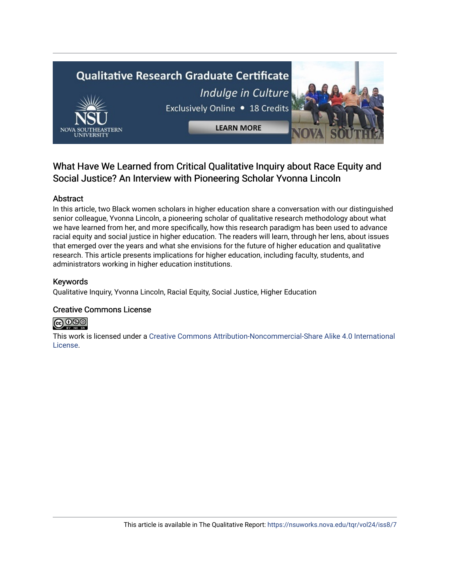

# What Have We Learned from Critical Qualitative Inquiry about Race Equity and Social Justice? An Interview with Pioneering Scholar Yvonna Lincoln

# Abstract

In this article, two Black women scholars in higher education share a conversation with our distinguished senior colleague, Yvonna Lincoln, a pioneering scholar of qualitative research methodology about what we have learned from her, and more specifically, how this research paradigm has been used to advance racial equity and social justice in higher education. The readers will learn, through her lens, about issues that emerged over the years and what she envisions for the future of higher education and qualitative research. This article presents implications for higher education, including faculty, students, and administrators working in higher education institutions.

# Keywords

Qualitative Inquiry, Yvonna Lincoln, Racial Equity, Social Justice, Higher Education

# Creative Commons License



This work is licensed under a [Creative Commons Attribution-Noncommercial-Share Alike 4.0 International](https://creativecommons.org/licenses/by-nc-sa/4.0/)  [License](https://creativecommons.org/licenses/by-nc-sa/4.0/).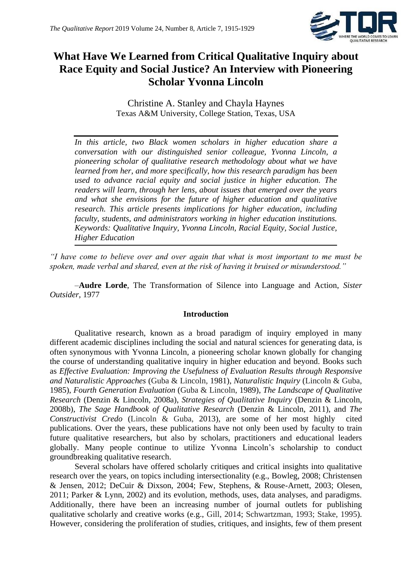

# **What Have We Learned from Critical Qualitative Inquiry about Race Equity and Social Justice? An Interview with Pioneering Scholar Yvonna Lincoln**

Christine A. Stanley and Chayla Haynes Texas A&M University, College Station, Texas, USA

*In this article, two Black women scholars in higher education share a conversation with our distinguished senior colleague, Yvonna Lincoln, a pioneering scholar of qualitative research methodology about what we have learned from her, and more specifically, how this research paradigm has been used to advance racial equity and social justice in higher education. The readers will learn, through her lens, about issues that emerged over the years and what she envisions for the future of higher education and qualitative research. This article presents implications for higher education, including faculty, students, and administrators working in higher education institutions. Keywords: Qualitative Inquiry, Yvonna Lincoln, Racial Equity, Social Justice, Higher Education*

*"I have come to believe over and over again that what is most important to me must be spoken, made verbal and shared, even at the risk of having it bruised or misunderstood."*

–**Audre Lorde**, The Transformation of Silence into Language and Action, *Sister Outsider*, 1977

# **Introduction**

Qualitative research, known as a broad paradigm of inquiry employed in many different academic disciplines including the social and natural sciences for generating data, is often synonymous with Yvonna Lincoln, a pioneering scholar known globally for changing the course of understanding qualitative inquiry in higher education and beyond. Books such as *Effective Evaluation: Improving the Usefulness of Evaluation Results through Responsive and Naturalistic Approaches* (Guba & Lincoln, 1981), *Naturalistic Inquiry* (Lincoln & Guba, 1985), *Fourth Generation Evaluation* (Guba & Lincoln, 1989), *The Landscape of Qualitative Research* (Denzin & Lincoln, 2008a), *Strategies of Qualitative Inquiry* (Denzin & Lincoln, 2008b), *The Sage Handbook of Qualitative Research* (Denzin & Lincoln, 2011), and *The Constructivist Credo* (Lincoln & Guba, 2013), are some of her most highly cited publications. Over the years, these publications have not only been used by faculty to train future qualitative researchers, but also by scholars, practitioners and educational leaders globally. Many people continue to utilize Yvonna Lincoln's scholarship to conduct groundbreaking qualitative research.

Several scholars have offered scholarly critiques and critical insights into qualitative research over the years, on topics including intersectionality (e.g., Bowleg, 2008; Christensen & Jensen, 2012; DeCuir & Dixson, 2004; Few, Stephens, & Rouse-Arnett, 2003; Olesen, 2011; Parker & Lynn, 2002) and its evolution, methods, uses, data analyses, and paradigms. Additionally, there have been an increasing number of journal outlets for publishing qualitative scholarly and creative works (e.g., Gill, 2014; Schwartzman, 1993; Stake, 1995). However, considering the proliferation of studies, critiques, and insights, few of them present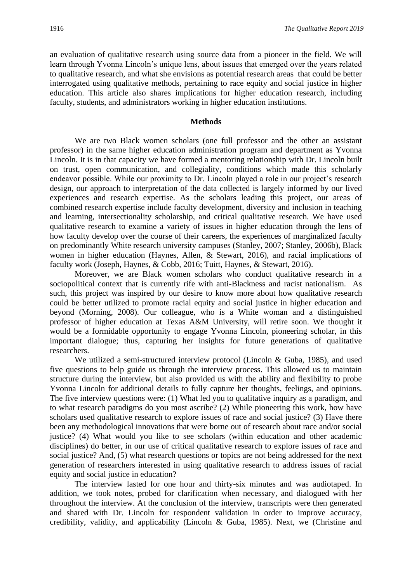an evaluation of qualitative research using source data from a pioneer in the field. We will learn through Yvonna Lincoln's unique lens, about issues that emerged over the years related to qualitative research, and what she envisions as potential research areas that could be better interrogated using qualitative methods, pertaining to race equity and social justice in higher education. This article also shares implications for higher education research, including faculty, students, and administrators working in higher education institutions.

#### **Methods**

We are two Black women scholars (one full professor and the other an assistant professor) in the same higher education administration program and department as Yvonna Lincoln. It is in that capacity we have formed a mentoring relationship with Dr. Lincoln built on trust, open communication, and collegiality, conditions which made this scholarly endeavor possible. While our proximity to Dr. Lincoln played a role in our project's research design, our approach to interpretation of the data collected is largely informed by our lived experiences and research expertise. As the scholars leading this project, our areas of combined research expertise include faculty development, diversity and inclusion in teaching and learning, intersectionality scholarship, and critical qualitative research. We have used qualitative research to examine a variety of issues in higher education through the lens of how faculty develop over the course of their careers, the experiences of marginalized faculty on predominantly White research university campuses (Stanley, 2007; Stanley, 2006b), Black women in higher education (Haynes, Allen, & Stewart, 2016), and racial implications of faculty work (Joseph, Haynes, & Cobb, 2016; Tuitt, Haynes, & Stewart, 2016).

Moreover, we are Black women scholars who conduct qualitative research in a sociopolitical context that is currently rife with anti-Blackness and racist nationalism. As such, this project was inspired by our desire to know more about how qualitative research could be better utilized to promote racial equity and social justice in higher education and beyond (Morning, 2008). Our colleague, who is a White woman and a distinguished professor of higher education at Texas A&M University, will retire soon. We thought it would be a formidable opportunity to engage Yvonna Lincoln, pioneering scholar, in this important dialogue; thus, capturing her insights for future generations of qualitative researchers.

We utilized a semi-structured interview protocol (Lincoln & Guba, 1985), and used five questions to help guide us through the interview process. This allowed us to maintain structure during the interview, but also provided us with the ability and flexibility to probe Yvonna Lincoln for additional details to fully capture her thoughts, feelings, and opinions. The five interview questions were: (1) What led you to qualitative inquiry as a paradigm, and to what research paradigms do you most ascribe? (2) While pioneering this work, how have scholars used qualitative research to explore issues of race and social justice? (3) Have there been any methodological innovations that were borne out of research about race and/or social justice? (4) What would you like to see scholars (within education and other academic disciplines) do better, in our use of critical qualitative research to explore issues of race and social justice? And, (5) what research questions or topics are not being addressed for the next generation of researchers interested in using qualitative research to address issues of racial equity and social justice in education?

The interview lasted for one hour and thirty-six minutes and was audiotaped. In addition, we took notes, probed for clarification when necessary, and dialogued with her throughout the interview. At the conclusion of the interview, transcripts were then generated and shared with Dr. Lincoln for respondent validation in order to improve accuracy, credibility, validity, and applicability (Lincoln & Guba, 1985). Next, we (Christine and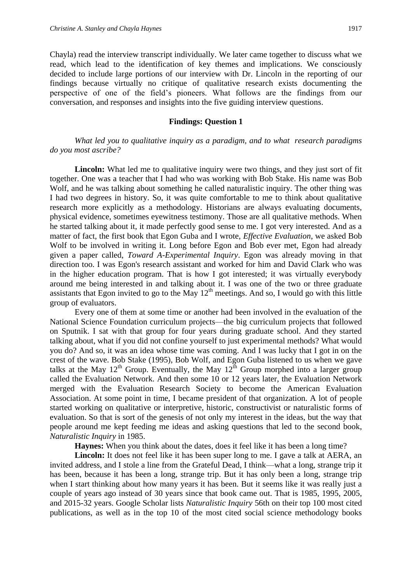Chayla) read the interview transcript individually. We later came together to discuss what we read, which lead to the identification of key themes and implications. We consciously decided to include large portions of our interview with Dr. Lincoln in the reporting of our findings because virtually no critique of qualitative research exists documenting the perspective of one of the field's pioneers. What follows are the findings from our conversation, and responses and insights into the five guiding interview questions.

#### **Findings: Question 1**

*What led you to qualitative inquiry as a paradigm, and to what research paradigms do you most ascribe?*

**Lincoln:** What led me to qualitative inquiry were two things, and they just sort of fit together. One was a teacher that I had who was working with Bob Stake. His name was Bob Wolf, and he was talking about something he called naturalistic inquiry. The other thing was I had two degrees in history. So, it was quite comfortable to me to think about qualitative research more explicitly as a methodology. Historians are always evaluating documents, physical evidence, sometimes eyewitness testimony. Those are all qualitative methods. When he started talking about it, it made perfectly good sense to me. I got very interested. And as a matter of fact, the first book that Egon Guba and I wrote, *Effective Evaluation*, we asked Bob Wolf to be involved in writing it. Long before Egon and Bob ever met, Egon had already given a paper called, *Toward A-Experimental Inquiry*. Egon was already moving in that direction too. I was Egon's research assistant and worked for him and David Clark who was in the higher education program. That is how I got interested; it was virtually everybody around me being interested in and talking about it. I was one of the two or three graduate assistants that Egon invited to go to the May  $12<sup>th</sup>$  meetings. And so, I would go with this little group of evaluators.

Every one of them at some time or another had been involved in the evaluation of the National Science Foundation curriculum projects—the big curriculum projects that followed on Sputnik. I sat with that group for four years during graduate school. And they started talking about, what if you did not confine yourself to just experimental methods? What would you do? And so, it was an idea whose time was coming. And I was lucky that I got in on the crest of the wave. Bob Stake (1995), Bob Wolf, and Egon Guba listened to us when we gave talks at the May  $12^{th}$  Group. Eventually, the May  $12^{th}$  Group morphed into a larger group called the Evaluation Network. And then some 10 or 12 years later, the Evaluation Network merged with the Evaluation Research Society to become the American Evaluation Association. At some point in time, I became president of that organization. A lot of people started working on qualitative or interpretive, historic, constructivist or naturalistic forms of evaluation. So that is sort of the genesis of not only my interest in the ideas, but the way that people around me kept feeding me ideas and asking questions that led to the second book, *Naturalistic Inquiry* in 1985.

**Haynes:** When you think about the dates, does it feel like it has been a long time?

**Lincoln:** It does not feel like it has been super long to me. I gave a talk at AERA, an invited address, and I stole a line from the Grateful Dead, I think—what a long, strange trip it has been, because it has been a long, strange trip. But it has only been a long, strange trip when I start thinking about how many years it has been. But it seems like it was really just a couple of years ago instead of 30 years since that book came out. That is 1985, 1995, 2005, and 2015-32 years. Google Scholar lists *Naturalistic Inquiry* 56th on their top 100 most cited publications, as well as in the top 10 of the most cited social science methodology books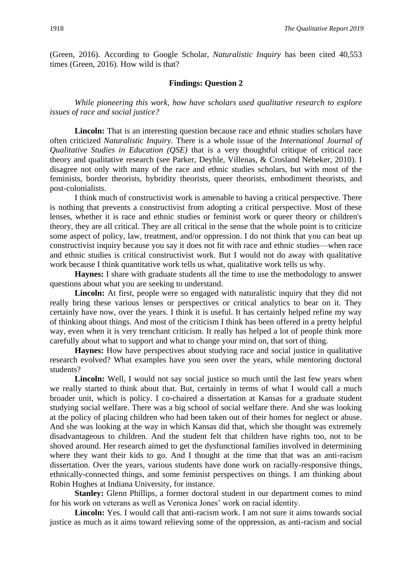(Green, 2016). According to Google Scholar, *Naturalistic Inquiry* has been cited 40,553 times (Green, 2016). How wild is that?

#### **Findings: Question 2**

*While pioneering this work, how have scholars used qualitative research to explore issues of race and social justice?*

Lincoln: That is an interesting question because race and ethnic studies scholars have often criticized *Naturalistic Inquiry*. There is a whole issue of the *International Journal of Qualitative Studies in Education (OSE)* that is a very thoughtful critique of critical race theory and qualitative research (see Parker, Deyhle, Villenas, & Crosland Nebeker, 2010). I disagree not only with many of the race and ethnic studies scholars, but with most of the feminists, border theorists, hybridity theorists, queer theorists, embodiment theorists, and post-colonialists.

I think much of constructivist work is amenable to having a critical perspective. There is nothing that prevents a constructivist from adopting a critical perspective. Most of these lenses, whether it is race and ethnic studies or feminist work or queer theory or children's theory, they are all critical. They are all critical in the sense that the whole point is to criticize some aspect of policy, law, treatment, and/or oppression. I do not think that you can beat up constructivist inquiry because you say it does not fit with race and ethnic studies—when race and ethnic studies is critical constructivist work. But I would not do away with qualitative work because I think quantitative work tells us what, qualitative work tells us why.

**Haynes:** I share with graduate students all the time to use the methodology to answer questions about what you are seeking to understand.

Lincoln: At first, people were so engaged with naturalistic inquiry that they did not really bring these various lenses or perspectives or critical analytics to bear on it. They certainly have now, over the years. I think it is useful. It has certainly helped refine my way of thinking about things. And most of the criticism I think has been offered in a pretty helpful way, even when it is very trenchant criticism. It really has helped a lot of people think more carefully about what to support and what to change your mind on, that sort of thing.

**Haynes:** How have perspectives about studying race and social justice in qualitative research evolved? What examples have you seen over the years, while mentoring doctoral students?

Lincoln: Well, I would not say social justice so much until the last few years when we really started to think about that. But, certainly in terms of what I would call a much broader unit, which is policy. I co-chaired a dissertation at Kansas for a graduate student studying social welfare. There was a big school of social welfare there. And she was looking at the policy of placing children who had been taken out of their homes for neglect or abuse. And she was looking at the way in which Kansas did that, which she thought was extremely disadvantageous to children. And the student felt that children have rights too, not to be shoved around. Her research aimed to get the dysfunctional families involved in determining where they want their kids to go. And I thought at the time that that was an anti-racism dissertation. Over the years, various students have done work on racially-responsive things, ethnically-connected things, and some feminist perspectives on things. I am thinking about Robin Hughes at Indiana University, for instance.

**Stanley:** Glenn Phillips, a former doctoral student in our department comes to mind for his work on veterans as well as Veronica Jones' work on racial identity.

**Lincoln:** Yes. I would call that anti-racism work. I am not sure it aims towards social justice as much as it aims toward relieving some of the oppression, as anti-racism and social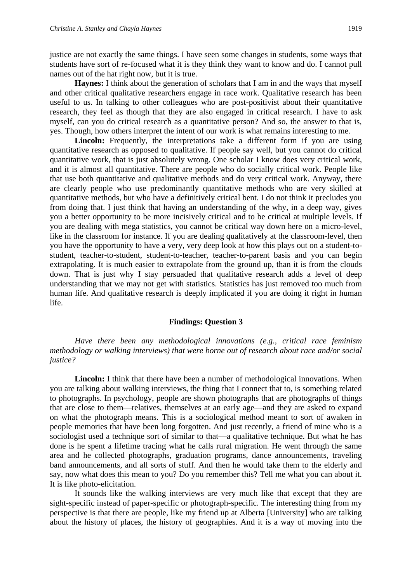justice are not exactly the same things. I have seen some changes in students, some ways that students have sort of re-focused what it is they think they want to know and do. I cannot pull names out of the hat right now, but it is true.

**Haynes:** I think about the generation of scholars that I am in and the ways that myself and other critical qualitative researchers engage in race work. Qualitative research has been useful to us. In talking to other colleagues who are post-positivist about their quantitative research, they feel as though that they are also engaged in critical research. I have to ask myself, can you do critical research as a quantitative person? And so, the answer to that is, yes. Though, how others interpret the intent of our work is what remains interesting to me.

**Lincoln:** Frequently, the interpretations take a different form if you are using quantitative research as opposed to qualitative. If people say well, but you cannot do critical quantitative work, that is just absolutely wrong. One scholar I know does very critical work, and it is almost all quantitative. There are people who do socially critical work. People like that use both quantitative and qualitative methods and do very critical work. Anyway, there are clearly people who use predominantly quantitative methods who are very skilled at quantitative methods, but who have a definitively critical bent. I do not think it precludes you from doing that. I just think that having an understanding of the why, in a deep way, gives you a better opportunity to be more incisively critical and to be critical at multiple levels. If you are dealing with mega statistics, you cannot be critical way down here on a micro-level, like in the classroom for instance. If you are dealing qualitatively at the classroom-level, then you have the opportunity to have a very, very deep look at how this plays out on a student-tostudent, teacher-to-student, student-to-teacher, teacher-to-parent basis and you can begin extrapolating. It is much easier to extrapolate from the ground up, than it is from the clouds down. That is just why I stay persuaded that qualitative research adds a level of deep understanding that we may not get with statistics. Statistics has just removed too much from human life. And qualitative research is deeply implicated if you are doing it right in human life.

# **Findings: Question 3**

*Have there been any methodological innovations (e.g., critical race feminism methodology or walking interviews) that were borne out of research about race and/or social justice?*

**Lincoln:** I think that there have been a number of methodological innovations. When you are talking about walking interviews, the thing that I connect that to, is something related to photographs. In psychology, people are shown photographs that are photographs of things that are close to them—relatives, themselves at an early age—and they are asked to expand on what the photograph means. This is a sociological method meant to sort of awaken in people memories that have been long forgotten. And just recently, a friend of mine who is a sociologist used a technique sort of similar to that—a qualitative technique. But what he has done is he spent a lifetime tracing what he calls rural migration. He went through the same area and he collected photographs, graduation programs, dance announcements, traveling band announcements, and all sorts of stuff. And then he would take them to the elderly and say, now what does this mean to you? Do you remember this? Tell me what you can about it. It is like photo-elicitation.

It sounds like the walking interviews are very much like that except that they are sight-specific instead of paper-specific or photograph-specific. The interesting thing from my perspective is that there are people, like my friend up at Alberta [University] who are talking about the history of places, the history of geographies. And it is a way of moving into the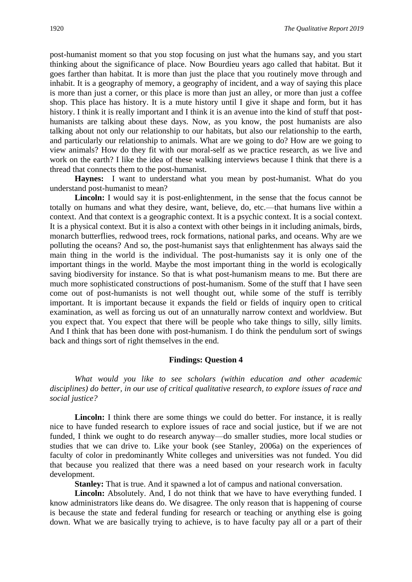post-humanist moment so that you stop focusing on just what the humans say, and you start thinking about the significance of place. Now Bourdieu years ago called that habitat. But it goes farther than habitat. It is more than just the place that you routinely move through and inhabit. It is a geography of memory, a geography of incident, and a way of saying this place is more than just a corner, or this place is more than just an alley, or more than just a coffee shop. This place has history. It is a mute history until I give it shape and form, but it has history. I think it is really important and I think it is an avenue into the kind of stuff that posthumanists are talking about these days. Now, as you know, the post humanists are also talking about not only our relationship to our habitats, but also our relationship to the earth, and particularly our relationship to animals. What are we going to do? How are we going to view animals? How do they fit with our moral-self as we practice research, as we live and work on the earth? I like the idea of these walking interviews because I think that there is a thread that connects them to the post-humanist.

**Haynes:** I want to understand what you mean by post-humanist. What do you understand post-humanist to mean?

**Lincoln:** I would say it is post-enlightenment, in the sense that the focus cannot be totally on humans and what they desire, want, believe, do, etc.—that humans live within a context. And that context is a geographic context. It is a psychic context. It is a social context. It is a physical context. But it is also a context with other beings in it including animals, birds, monarch butterflies, redwood trees, rock formations, national parks, and oceans. Why are we polluting the oceans? And so, the post-humanist says that enlightenment has always said the main thing in the world is the individual. The post-humanists say it is only one of the important things in the world. Maybe the most important thing in the world is ecologically saving biodiversity for instance. So that is what post-humanism means to me. But there are much more sophisticated constructions of post-humanism. Some of the stuff that I have seen come out of post-humanists is not well thought out, while some of the stuff is terribly important. It is important because it expands the field or fields of inquiry open to critical examination, as well as forcing us out of an unnaturally narrow context and worldview. But you expect that. You expect that there will be people who take things to silly, silly limits. And I think that has been done with post-humanism. I do think the pendulum sort of swings back and things sort of right themselves in the end.

#### **Findings: Question 4**

*What would you like to see scholars (within education and other academic disciplines) do better, in our use of critical qualitative research, to explore issues of race and social justice?*

Lincoln: I think there are some things we could do better. For instance, it is really nice to have funded research to explore issues of race and social justice, but if we are not funded, I think we ought to do research anyway—do smaller studies, more local studies or studies that we can drive to. Like your book (see Stanley, 2006a) on the experiences of faculty of color in predominantly White colleges and universities was not funded. You did that because you realized that there was a need based on your research work in faculty development.

**Stanley:** That is true. And it spawned a lot of campus and national conversation.

Lincoln: Absolutely. And, I do not think that we have to have everything funded. I know administrators like deans do. We disagree. The only reason that is happening of course is because the state and federal funding for research or teaching or anything else is going down. What we are basically trying to achieve, is to have faculty pay all or a part of their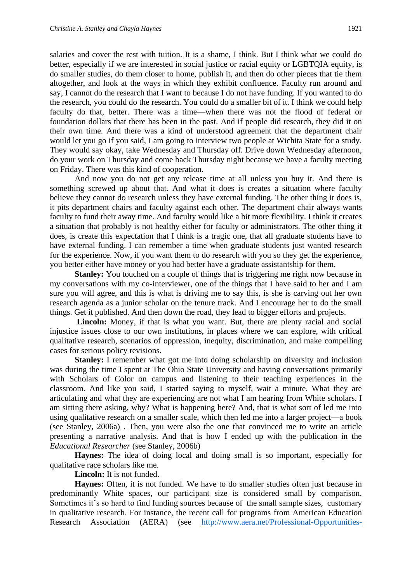salaries and cover the rest with tuition. It is a shame, I think. But I think what we could do better, especially if we are interested in social justice or racial equity or LGBTQIA equity, is do smaller studies, do them closer to home, publish it, and then do other pieces that tie them altogether, and look at the ways in which they exhibit confluence. Faculty run around and say, I cannot do the research that I want to because I do not have funding. If you wanted to do the research, you could do the research. You could do a smaller bit of it. I think we could help faculty do that, better. There was a time—when there was not the flood of federal or foundation dollars that there has been in the past. And if people did research, they did it on their own time. And there was a kind of understood agreement that the department chair would let you go if you said, I am going to interview two people at Wichita State for a study. They would say okay, take Wednesday and Thursday off. Drive down Wednesday afternoon, do your work on Thursday and come back Thursday night because we have a faculty meeting on Friday. There was this kind of cooperation.

And now you do not get any release time at all unless you buy it. And there is something screwed up about that. And what it does is creates a situation where faculty believe they cannot do research unless they have external funding. The other thing it does is, it pits department chairs and faculty against each other. The department chair always wants faculty to fund their away time. And faculty would like a bit more flexibility. I think it creates a situation that probably is not healthy either for faculty or administrators. The other thing it does, is create this expectation that I think is a tragic one, that all graduate students have to have external funding. I can remember a time when graduate students just wanted research for the experience. Now, if you want them to do research with you so they get the experience, you better either have money or you had better have a graduate assistantship for them.

**Stanley:** You touched on a couple of things that is triggering me right now because in my conversations with my co-interviewer, one of the things that I have said to her and I am sure you will agree, and this is what is driving me to say this, is she is carving out her own research agenda as a junior scholar on the tenure track. And I encourage her to do the small things. Get it published. And then down the road, they lead to bigger efforts and projects.

**Lincoln:** Money, if that is what you want. But, there are plenty racial and social injustice issues close to our own institutions, in places where we can explore, with critical qualitative research, scenarios of oppression, inequity, discrimination, and make compelling cases for serious policy revisions.

**Stanley:** I remember what got me into doing scholarship on diversity and inclusion was during the time I spent at The Ohio State University and having conversations primarily with Scholars of Color on campus and listening to their teaching experiences in the classroom. And like you said, I started saying to myself, wait a minute. What they are articulating and what they are experiencing are not what I am hearing from White scholars. I am sitting there asking, why? What is happening here? And, that is what sort of led me into using qualitative research on a smaller scale, which then led me into a larger project—a book (see Stanley, 2006a) . Then, you were also the one that convinced me to write an article presenting a narrative analysis. And that is how I ended up with the publication in the *Educational Researcher* (see Stanley, 2006b)

**Haynes:** The idea of doing local and doing small is so important, especially for qualitative race scholars like me.

**Lincoln:** It is not funded.

**Haynes:** Often, it is not funded. We have to do smaller studies often just because in predominantly White spaces, our participant size is considered small by comparison. Sometimes it's so hard to find funding sources because of the small sample sizes, customary in qualitative research. For instance, the recent call for programs from American Education Research Association (AERA) (see [http://www.aera.net/Professional-Opportunities-](http://www.aera.net/Professional-Opportunities-Funding/AERA-Funding-Opportunities/Grants-Program/Research-Grants)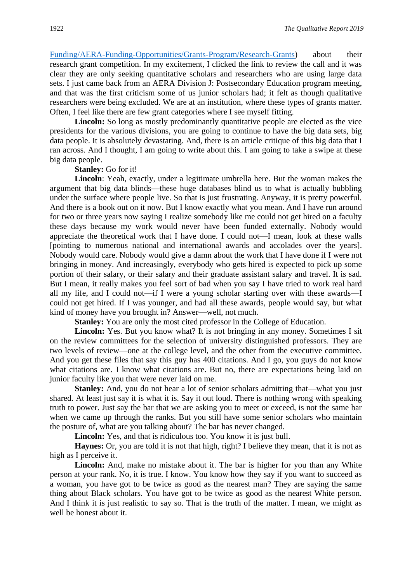Funding/AERA-Funding-Opportunities/Grants-Program/Research-Grants) about their research grant competition. In my excitement, I clicked the link to review the call and it was clear they are only seeking quantitative scholars and researchers who are using large data sets. I just came back from an AERA Division J: Postsecondary Education program meeting, and that was the first criticism some of us junior scholars had; it felt as though qualitative researchers were being excluded. We are at an institution, where these types of grants matter. Often, I feel like there are few grant categories where I see myself fitting.

Lincoln: So long as mostly predominantly quantitative people are elected as the vice presidents for the various divisions, you are going to continue to have the big data sets, big data people. It is absolutely devastating. And, there is an article critique of this big data that I ran across. And I thought, I am going to write about this. I am going to take a swipe at these big data people.

#### **Stanley:** Go for it!

**Lincoln**: Yeah, exactly, under a legitimate umbrella here. But the woman makes the argument that big data blinds—these huge databases blind us to what is actually bubbling under the surface where people live. So that is just frustrating. Anyway, it is pretty powerful. And there is a book out on it now. But I know exactly what you mean. And I have run around for two or three years now saying I realize somebody like me could not get hired on a faculty these days because my work would never have been funded externally. Nobody would appreciate the theoretical work that I have done. I could not—I mean, look at these walls [pointing to numerous national and international awards and accolades over the years]. Nobody would care. Nobody would give a damn about the work that I have done if I were not bringing in money. And increasingly, everybody who gets hired is expected to pick up some portion of their salary, or their salary and their graduate assistant salary and travel. It is sad. But I mean, it really makes you feel sort of bad when you say I have tried to work real hard all my life, and I could not—if I were a young scholar starting over with these awards—I could not get hired. If I was younger, and had all these awards, people would say, but what kind of money have you brought in? Answer—well, not much.

**Stanley:** You are only the most cited professor in the College of Education.

Lincoln: Yes. But you know what? It is not bringing in any money. Sometimes I sit on the review committees for the selection of university distinguished professors. They are two levels of review—one at the college level, and the other from the executive committee. And you get these files that say this guy has 400 citations. And I go, you guys do not know what citations are. I know what citations are. But no, there are expectations being laid on junior faculty like you that were never laid on me.

**Stanley:** And, you do not hear a lot of senior scholars admitting that—what you just shared. At least just say it is what it is. Say it out loud. There is nothing wrong with speaking truth to power. Just say the bar that we are asking you to meet or exceed, is not the same bar when we came up through the ranks. But you still have some senior scholars who maintain the posture of, what are you talking about? The bar has never changed.

**Lincoln:** Yes, and that is ridiculous too. You know it is just bull.

**Haynes:** Or, you are told it is not that high, right? I believe they mean, that it is not as high as I perceive it.

**Lincoln:** And, make no mistake about it. The bar is higher for you than any White person at your rank. No, it is true. I know. You know how they say if you want to succeed as a woman, you have got to be twice as good as the nearest man? They are saying the same thing about Black scholars. You have got to be twice as good as the nearest White person. And I think it is just realistic to say so. That is the truth of the matter. I mean, we might as well be honest about it.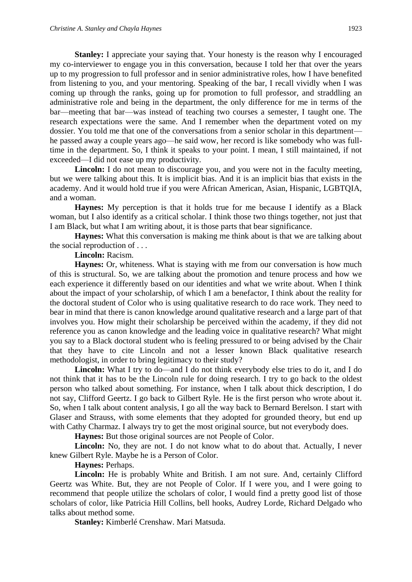**Stanley:** I appreciate your saying that. Your honesty is the reason why I encouraged my co-interviewer to engage you in this conversation, because I told her that over the years up to my progression to full professor and in senior administrative roles, how I have benefited from listening to you, and your mentoring. Speaking of the bar, I recall vividly when I was coming up through the ranks, going up for promotion to full professor, and straddling an administrative role and being in the department, the only difference for me in terms of the bar—meeting that bar—was instead of teaching two courses a semester, I taught one. The research expectations were the same. And I remember when the department voted on my dossier. You told me that one of the conversations from a senior scholar in this department he passed away a couple years ago—he said wow, her record is like somebody who was fulltime in the department. So, I think it speaks to your point. I mean, I still maintained, if not exceeded—I did not ease up my productivity.

**Lincoln:** I do not mean to discourage you, and you were not in the faculty meeting, but we were talking about this. It is implicit bias. And it is an implicit bias that exists in the academy. And it would hold true if you were African American, Asian, Hispanic, LGBTQIA, and a woman.

**Haynes:** My perception is that it holds true for me because I identify as a Black woman, but I also identify as a critical scholar. I think those two things together, not just that I am Black, but what I am writing about, it is those parts that bear significance.

**Haynes:** What this conversation is making me think about is that we are talking about the social reproduction of . . .

**Lincoln:** Racism.

**Haynes:** Or, whiteness. What is staying with me from our conversation is how much of this is structural. So, we are talking about the promotion and tenure process and how we each experience it differently based on our identities and what we write about. When I think about the impact of your scholarship, of which I am a benefactor, I think about the reality for the doctoral student of Color who is using qualitative research to do race work. They need to bear in mind that there is canon knowledge around qualitative research and a large part of that involves you. How might their scholarship be perceived within the academy, if they did not reference you as canon knowledge and the leading voice in qualitative research? What might you say to a Black doctoral student who is feeling pressured to or being advised by the Chair that they have to cite Lincoln and not a lesser known Black qualitative research methodologist, in order to bring legitimacy to their study?

**Lincoln:** What I try to do—and I do not think everybody else tries to do it, and I do not think that it has to be the Lincoln rule for doing research. I try to go back to the oldest person who talked about something. For instance, when I talk about thick description, I do not say, Clifford Geertz. I go back to Gilbert Ryle. He is the first person who wrote about it. So, when I talk about content analysis, I go all the way back to Bernard Berelson. I start with Glaser and Strauss, with some elements that they adopted for grounded theory, but end up with Cathy Charmaz. I always try to get the most original source, but not everybody does.

**Haynes:** But those original sources are not People of Color.

Lincoln: No, they are not. I do not know what to do about that. Actually, I never knew Gilbert Ryle. Maybe he is a Person of Color.

**Haynes:** Perhaps.

**Lincoln:** He is probably White and British. I am not sure. And, certainly Clifford Geertz was White. But, they are not People of Color. If I were you, and I were going to recommend that people utilize the scholars of color, I would find a pretty good list of those scholars of color, like Patricia Hill Collins, bell hooks, Audrey Lorde, Richard Delgado who talks about method some.

**Stanley:** Kimberlé Crenshaw. Mari Matsuda.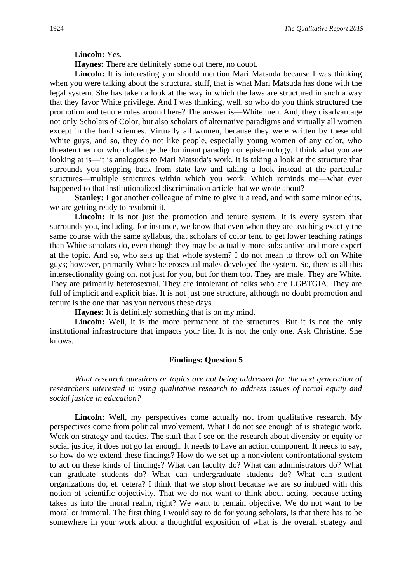**Lincoln:** Yes.

**Haynes:** There are definitely some out there, no doubt.

**Lincoln:** It is interesting you should mention Mari Matsuda because I was thinking when you were talking about the structural stuff, that is what Mari Matsuda has done with the legal system. She has taken a look at the way in which the laws are structured in such a way that they favor White privilege. And I was thinking, well, so who do you think structured the promotion and tenure rules around here? The answer is—White men. And, they disadvantage not only Scholars of Color, but also scholars of alternative paradigms and virtually all women except in the hard sciences. Virtually all women, because they were written by these old White guys, and so, they do not like people, especially young women of any color, who threaten them or who challenge the dominant paradigm or epistemology. I think what you are looking at is—it is analogous to Mari Matsuda's work. It is taking a look at the structure that surrounds you stepping back from state law and taking a look instead at the particular structures—multiple structures within which you work. Which reminds me—what ever happened to that institutionalized discrimination article that we wrote about?

**Stanley:** I got another colleague of mine to give it a read, and with some minor edits, we are getting ready to resubmit it.

Lincoln: It is not just the promotion and tenure system. It is every system that surrounds you, including, for instance, we know that even when they are teaching exactly the same course with the same syllabus, that scholars of color tend to get lower teaching ratings than White scholars do, even though they may be actually more substantive and more expert at the topic. And so, who sets up that whole system? I do not mean to throw off on White guys; however, primarily White heterosexual males developed the system. So, there is all this intersectionality going on, not just for you, but for them too. They are male. They are White. They are primarily heterosexual. They are intolerant of folks who are LGBTGIA. They are full of implicit and explicit bias. It is not just one structure, although no doubt promotion and tenure is the one that has you nervous these days.

**Haynes:** It is definitely something that is on my mind.

Lincoln: Well, it is the more permanent of the structures. But it is not the only institutional infrastructure that impacts your life. It is not the only one. Ask Christine. She knows.

# **Findings: Question 5**

*What research questions or topics are not being addressed for the next generation of researchers interested in using qualitative research to address issues of racial equity and social justice in education?*

Lincoln: Well, my perspectives come actually not from qualitative research. My perspectives come from political involvement. What I do not see enough of is strategic work. Work on strategy and tactics. The stuff that I see on the research about diversity or equity or social justice, it does not go far enough. It needs to have an action component. It needs to say, so how do we extend these findings? How do we set up a nonviolent confrontational system to act on these kinds of findings? What can faculty do? What can administrators do? What can graduate students do? What can undergraduate students do? What can student organizations do, et. cetera? I think that we stop short because we are so imbued with this notion of scientific objectivity. That we do not want to think about acting, because acting takes us into the moral realm, right? We want to remain objective. We do not want to be moral or immoral. The first thing I would say to do for young scholars, is that there has to be somewhere in your work about a thoughtful exposition of what is the overall strategy and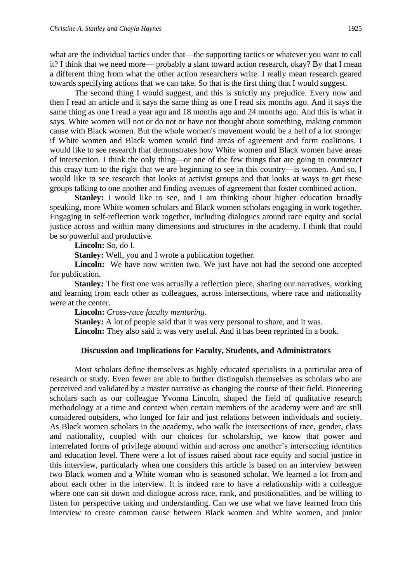what are the individual tactics under that—the supporting tactics or whatever you want to call it? I think that we need more— probably a slant toward action research, okay? By that I mean a different thing from what the other action researchers write. I really mean research geared towards specifying actions that we can take. So that is the first thing that I would suggest.

The second thing I would suggest, and this is strictly my prejudice. Every now and then I read an article and it says the same thing as one I read six months ago. And it says the same thing as one I read a year ago and 18 months ago and 24 months ago. And this is what it says. White women will not or do not or have not thought about something, making common cause with Black women. But the whole women's movement would be a hell of a lot stronger if White women and Black women would find areas of agreement and form coalitions. I would like to see research that demonstrates how White women and Black women have areas of intersection. I think the only thing—or one of the few things that are going to counteract this crazy turn to the right that we are beginning to see in this country—is women. And so, I would like to see research that looks at activist groups and that looks at ways to get these groups talking to one another and finding avenues of agreement that foster combined action.

**Stanley:** I would like to see, and I am thinking about higher education broadly speaking, more White women scholars and Black women scholars engaging in work together. Engaging in self-reflection work together, including dialogues around race equity and social justice across and within many dimensions and structures in the academy. I think that could be so powerful and productive.

**Lincoln:** So, do I.

**Stanley:** Well, you and I wrote a publication together.

Lincoln: We have now written two. We just have not had the second one accepted for publication.

**Stanley:** The first one was actually a reflection piece, sharing our narratives, working and learning from each other as colleagues, across intersections, where race and nationality were at the center.

**Lincoln:** *Cross-race faculty mentoring*.

**Stanley:** A lot of people said that it was very personal to share, and it was.

Lincoln: They also said it was very useful. And it has been reprinted in a book.

#### **Discussion and Implications for Faculty, Students, and Administrators**

Most scholars define themselves as highly educated specialists in a particular area of research or study. Even fewer are able to further distinguish themselves as scholars who are perceived and validated by a master narrative as changing the course of their field. Pioneering scholars such as our colleague Yvonna Lincoln, shaped the field of qualitative research methodology at a time and context when certain members of the academy were and are still considered outsiders, who longed for fair and just relations between individuals and society. As Black women scholars in the academy, who walk the intersections of race, gender, class and nationality, coupled with our choices for scholarship, we know that power and interrelated forms of privilege abound within and across one another's intersecting identities and education level. There were a lot of issues raised about race equity and social justice in this interview, particularly when one considers this article is based on an interview between two Black women and a White woman who is seasoned scholar. We learned a lot from and about each other in the interview. It is indeed rare to have a relationship with a colleague where one can sit down and dialogue across race, rank, and positionalities, and be willing to listen for perspective taking and understanding. Can we use what we have learned from this interview to create common cause between Black women and White women, and junior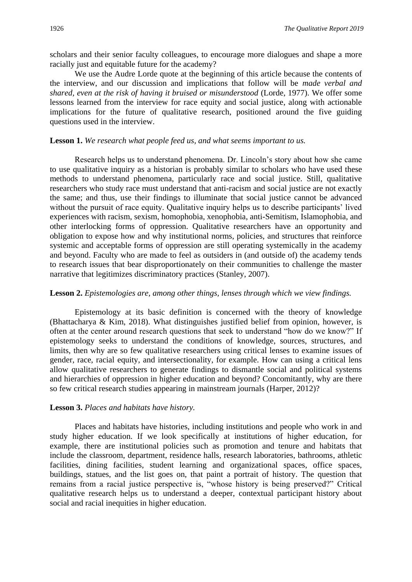scholars and their senior faculty colleagues, to encourage more dialogues and shape a more racially just and equitable future for the academy?

We use the Audre Lorde quote at the beginning of this article because the contents of the interview, and our discussion and implications that follow will be *made verbal and shared, even at the risk of having it bruised or misunderstood* (Lorde, 1977). We offer some lessons learned from the interview for race equity and social justice, along with actionable implications for the future of qualitative research, positioned around the five guiding questions used in the interview.

#### **Lesson 1.** *We research what people feed us, and what seems important to us.*

Research helps us to understand phenomena. Dr. Lincoln's story about how she came to use qualitative inquiry as a historian is probably similar to scholars who have used these methods to understand phenomena, particularly race and social justice. Still, qualitative researchers who study race must understand that anti-racism and social justice are not exactly the same; and thus, use their findings to illuminate that social justice cannot be advanced without the pursuit of race equity. Qualitative inquiry helps us to describe participants' lived experiences with racism, sexism, homophobia, xenophobia, anti-Semitism, Islamophobia, and other interlocking forms of oppression. Qualitative researchers have an opportunity and obligation to expose how and why institutional norms, policies, and structures that reinforce systemic and acceptable forms of oppression are still operating systemically in the academy and beyond. Faculty who are made to feel as outsiders in (and outside of) the academy tends to research issues that bear disproportionately on their communities to challenge the master narrative that legitimizes discriminatory practices (Stanley, 2007).

#### **Lesson 2.** *Epistemologies are, among other things, lenses through which we view findings.*

Epistemology at its basic definition is concerned with the theory of knowledge (Bhattacharya & Kim, 2018). What distinguishes justified belief from opinion, however, is often at the center around research questions that seek to understand "how do we know?" If epistemology seeks to understand the conditions of knowledge, sources, structures, and limits, then why are so few qualitative researchers using critical lenses to examine issues of gender, race, racial equity, and intersectionality, for example. How can using a critical lens allow qualitative researchers to generate findings to dismantle social and political systems and hierarchies of oppression in higher education and beyond? Concomitantly, why are there so few critical research studies appearing in mainstream journals (Harper, 2012)?

#### **Lesson 3.** *Places and habitats have history.*

Places and habitats have histories, including institutions and people who work in and study higher education. If we look specifically at institutions of higher education, for example, there are institutional policies such as promotion and tenure and habitats that include the classroom, department, residence halls, research laboratories, bathrooms, athletic facilities, dining facilities, student learning and organizational spaces, office spaces, buildings, statues, and the list goes on, that paint a portrait of history. The question that remains from a racial justice perspective is, "whose history is being preserved?" Critical qualitative research helps us to understand a deeper, contextual participant history about social and racial inequities in higher education.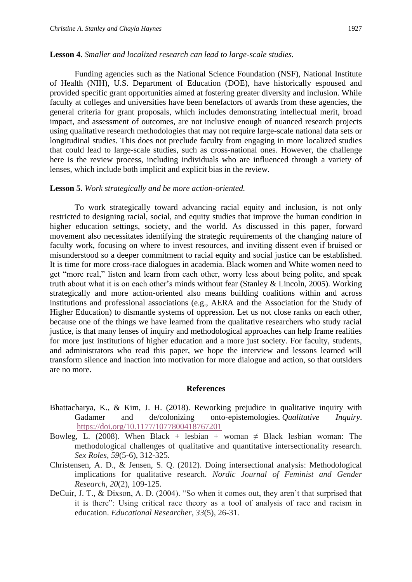#### **Lesson 4**. *Smaller and localized research can lead to large-scale studies.*

Funding agencies such as the National Science Foundation (NSF), National Institute of Health (NIH), U.S. Department of Education (DOE), have historically espoused and provided specific grant opportunities aimed at fostering greater diversity and inclusion. While faculty at colleges and universities have been benefactors of awards from these agencies, the general criteria for grant proposals, which includes demonstrating intellectual merit, broad impact, and assessment of outcomes, are not inclusive enough of nuanced research projects using qualitative research methodologies that may not require large-scale national data sets or longitudinal studies. This does not preclude faculty from engaging in more localized studies that could lead to large-scale studies, such as cross-national ones. However, the challenge here is the review process, including individuals who are influenced through a variety of lenses, which include both implicit and explicit bias in the review.

#### **Lesson 5.** *Work strategically and be more action-oriented.*

To work strategically toward advancing racial equity and inclusion, is not only restricted to designing racial, social, and equity studies that improve the human condition in higher education settings, society, and the world. As discussed in this paper, forward movement also necessitates identifying the strategic requirements of the changing nature of faculty work, focusing on where to invest resources, and inviting dissent even if bruised or misunderstood so a deeper commitment to racial equity and social justice can be established. It is time for more cross-race dialogues in academia. Black women and White women need to get "more real," listen and learn from each other, worry less about being polite, and speak truth about what it is on each other's minds without fear (Stanley & Lincoln, 2005). Working strategically and more action-oriented also means building coalitions within and across institutions and professional associations (e.g., AERA and the Association for the Study of Higher Education) to dismantle systems of oppression. Let us not close ranks on each other, because one of the things we have learned from the qualitative researchers who study racial justice, is that many lenses of inquiry and methodological approaches can help frame realities for more just institutions of higher education and a more just society. For faculty, students, and administrators who read this paper, we hope the interview and lessons learned will transform silence and inaction into motivation for more dialogue and action, so that outsiders are no more.

#### **References**

- Bhattacharya, K., & Kim, J. H. (2018). Reworking prejudice in qualitative inquiry with Gadamer and de/colonizing onto-epistemologies. *Qualitative Inquiry*. <https://doi.org/10.1177/1077800418767201>
- Bowleg, L. (2008). When Black + lesbian + woman  $\neq$  Black lesbian woman: The methodological challenges of qualitative and quantitative intersectionality research. *Sex Roles*, *59*(5-6), 312-325.
- Christensen, A. D., & Jensen, S. Q. (2012). Doing intersectional analysis: Methodological implications for qualitative research. *Nordic Journal of Feminist and Gender Research*, *20*(2), 109-125.
- DeCuir, J. T., & Dixson, A. D. (2004). "So when it comes out, they aren't that surprised that it is there": Using critical race theory as a tool of analysis of race and racism in education. *Educational Researcher*, *33*(5), 26-31.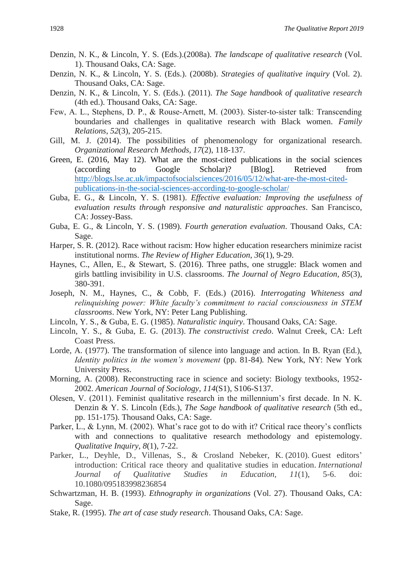- Denzin, N. K., & Lincoln, Y. S. (Eds.).(2008a). *The landscape of qualitative research* (Vol. 1). Thousand Oaks, CA: Sage.
- Denzin, N. K., & Lincoln, Y. S. (Eds.). (2008b). *Strategies of qualitative inquiry* (Vol. 2). Thousand Oaks, CA: Sage.
- Denzin, N. K., & Lincoln, Y. S. (Eds.). (2011). *The Sage handbook of qualitative research* (4th ed.). Thousand Oaks, CA: Sage.
- Few, A. L., Stephens, D. P., & Rouse-Arnett, M. (2003). Sister-to-sister talk: Transcending boundaries and challenges in qualitative research with Black women. *Family Relations*, *52*(3), 205-215.
- Gill, M. J. (2014). The possibilities of phenomenology for organizational research. *Organizational Research Methods, 17*(2), 118-137.
- Green, E. (2016, May 12). [What are the most-cited publications in the social sciences](http://blogs.lse.ac.uk/impactofsocialsciences/2016/05/12/what-are-the-most-cited-publications-in-the-social-sciences-according-to-google-scholar/)  [\(according to Google Scholar\)?](http://blogs.lse.ac.uk/impactofsocialsciences/2016/05/12/what-are-the-most-cited-publications-in-the-social-sciences-according-to-google-scholar/) [Blog]. Retrieved from [http://blogs.lse.ac.uk/impactofsocialsciences/2016/05/12/what-are-the-most-cited](http://blogs.lse.ac.uk/impactofsocialsciences/2016/05/12/what-are-the-most-cited-publications-in-the-social-sciences-according-to-google-scholar/)[publications-in-the-social-sciences-according-to-google-scholar/](http://blogs.lse.ac.uk/impactofsocialsciences/2016/05/12/what-are-the-most-cited-publications-in-the-social-sciences-according-to-google-scholar/)
- Guba, E. G., & Lincoln, Y. S. (1981). *Effective evaluation: Improving the usefulness of evaluation results through responsive and naturalistic approaches*. San Francisco, CA: Jossey-Bass.
- Guba, E. G., & Lincoln, Y. S. (1989). *Fourth generation evaluation*. Thousand Oaks, CA: Sage.
- Harper, S. R. (2012). Race without racism: How higher education researchers minimize racist institutional norms. *The Review of Higher Education*, *36*(1), 9-29.
- Haynes, C., Allen, E., & Stewart, S. (2016). Three paths, one struggle: Black women and girls battling invisibility in U.S. classrooms. *The Journal of Negro Education, 85*(3), 380-391.
- Joseph, N. M., Haynes, C., & Cobb, F. (Eds.) (2016). *Interrogating Whiteness and relinquishing power: White faculty's commitment to racial consciousness in STEM classrooms*. New York, NY: Peter Lang Publishing.
- Lincoln, Y. S., & Guba, E. G. (1985). *Naturalistic inquiry*. Thousand Oaks, CA: Sage.
- Lincoln, Y. S., & Guba, E. G. (2013). *The constructivist credo*. Walnut Creek, CA: Left Coast Press.
- Lorde, A. (1977). The transformation of silence into language and action. In B. Ryan (Ed.), *Identity politics in the women's movement* (pp. 81-84). New York, NY: New York University Press.
- Morning, A. (2008). Reconstructing race in science and society: Biology textbooks, 1952- 2002. *American Journal of Sociology*, *114*(S1), S106-S137.
- Olesen, V. (2011). Feminist qualitative research in the millennium's first decade. In N. K. Denzin & Y. S. Lincoln (Eds.), *The Sage handbook of qualitative research* (5th ed., pp. 151-175). Thousand Oaks, CA: Sage.
- Parker, L., & Lynn, M. (2002). What's race got to do with it? Critical race theory's conflicts with and connections to qualitative research methodology and epistemology. *Qualitative Inquiry*, *8*(1), 7-22.
- Parker, L., Deyhle, D., Villenas, S., & Crosland Nebeker, K. (2010). Guest editors' introduction: Critical race theory and qualitative studies in education. *International Journal of Qualitative Studies in Education, 11*(1), 5-6. doi: 10.1080/095183998236854
- Schwartzman, H. B. (1993). *Ethnography in organizations* (Vol. 27). Thousand Oaks, CA: Sage.
- Stake, R. (1995). *The art of case study research*. Thousand Oaks, CA: Sage.